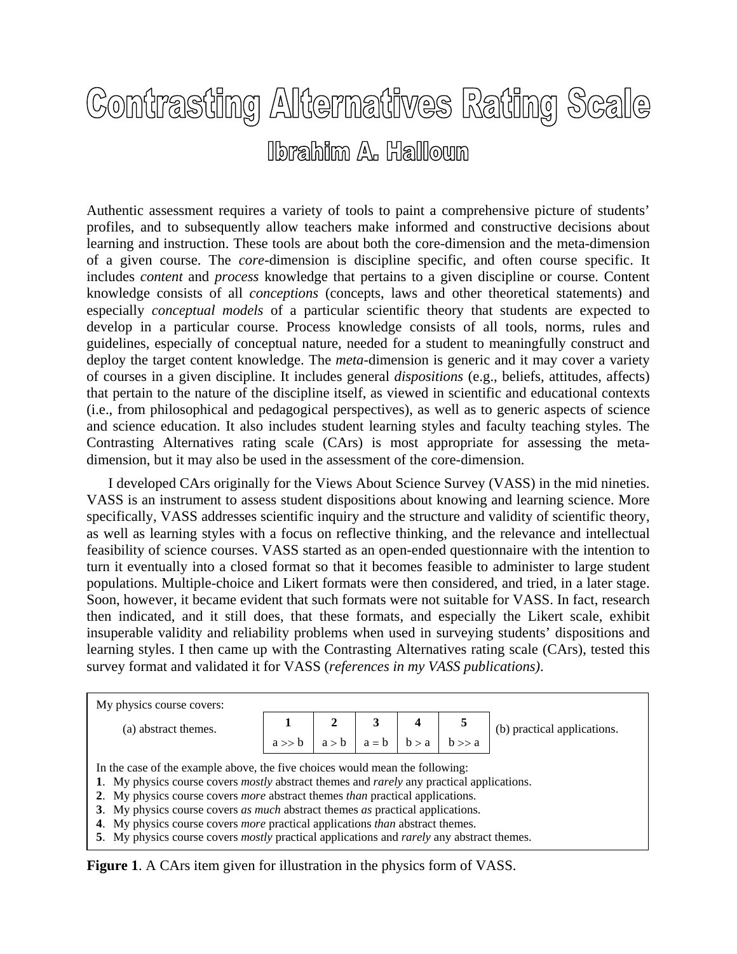## Contrasting Alternatives Rating Scale **Ibrahim A. Halloum**

Authentic assessment requires a variety of tools to paint a comprehensive picture of students' profiles, and to subsequently allow teachers make informed and constructive decisions about learning and instruction. These tools are about both the core-dimension and the meta-dimension of a given course. The *core*-dimension is discipline specific, and often course specific. It includes *content* and *process* knowledge that pertains to a given discipline or course. Content knowledge consists of all *conceptions* (concepts, laws and other theoretical statements) and especially *conceptual models* of a particular scientific theory that students are expected to develop in a particular course. Process knowledge consists of all tools, norms, rules and guidelines, especially of conceptual nature, needed for a student to meaningfully construct and deploy the target content knowledge. The *meta-*dimension is generic and it may cover a variety of courses in a given discipline. It includes general *dispositions* (e.g., beliefs, attitudes, affects) that pertain to the nature of the discipline itself, as viewed in scientific and educational contexts (i.e., from philosophical and pedagogical perspectives), as well as to generic aspects of science and science education. It also includes student learning styles and faculty teaching styles. The Contrasting Alternatives rating scale (CArs) is most appropriate for assessing the metadimension, but it may also be used in the assessment of the core-dimension.

 I developed CArs originally for the Views About Science Survey (VASS) in the mid nineties. VASS is an instrument to assess student dispositions about knowing and learning science. More specifically, VASS addresses scientific inquiry and the structure and validity of scientific theory, as well as learning styles with a focus on reflective thinking, and the relevance and intellectual feasibility of science courses. VASS started as an open-ended questionnaire with the intention to turn it eventually into a closed format so that it becomes feasible to administer to large student populations. Multiple-choice and Likert formats were then considered, and tried, in a later stage. Soon, however, it became evident that such formats were not suitable for VASS. In fact, research then indicated, and it still does, that these formats, and especially the Likert scale, exhibit insuperable validity and reliability problems when used in surveying students' dispositions and learning styles. I then came up with the Contrasting Alternatives rating scale (CArs), tested this survey format and validated it for VASS (*references in my VASS publications)*.

| My physics course covers:                                                                                                                                                                                                                                                                                                                                                                                                                                                             |  |  |  |  |                                                                                      |                             |
|---------------------------------------------------------------------------------------------------------------------------------------------------------------------------------------------------------------------------------------------------------------------------------------------------------------------------------------------------------------------------------------------------------------------------------------------------------------------------------------|--|--|--|--|--------------------------------------------------------------------------------------|-----------------------------|
| (a) abstract themes.                                                                                                                                                                                                                                                                                                                                                                                                                                                                  |  |  |  |  |                                                                                      | (b) practical applications. |
|                                                                                                                                                                                                                                                                                                                                                                                                                                                                                       |  |  |  |  | $\begin{array}{c c c c c} 1 & 2 & 3 & 4 & 5 \\ a & 2 & a-b & b-a & b> a \end{array}$ |                             |
| In the case of the example above, the five choices would mean the following:<br>1. My physics course covers <i>mostly</i> abstract themes and <i>rarely</i> any practical applications.<br>2. My physics course covers <i>more</i> abstract themes <i>than</i> practical applications.<br>3. My physics course covers <i>as much</i> abstract themes <i>as</i> practical applications.<br>4. My physics course covers <i>more</i> practical applications <i>than</i> abstract themes. |  |  |  |  |                                                                                      |                             |
| 5. My physics course covers <i>mostly</i> practical applications and <i>rarely</i> any abstract themes.                                                                                                                                                                                                                                                                                                                                                                               |  |  |  |  |                                                                                      |                             |

**Figure 1**. A CArs item given for illustration in the physics form of VASS.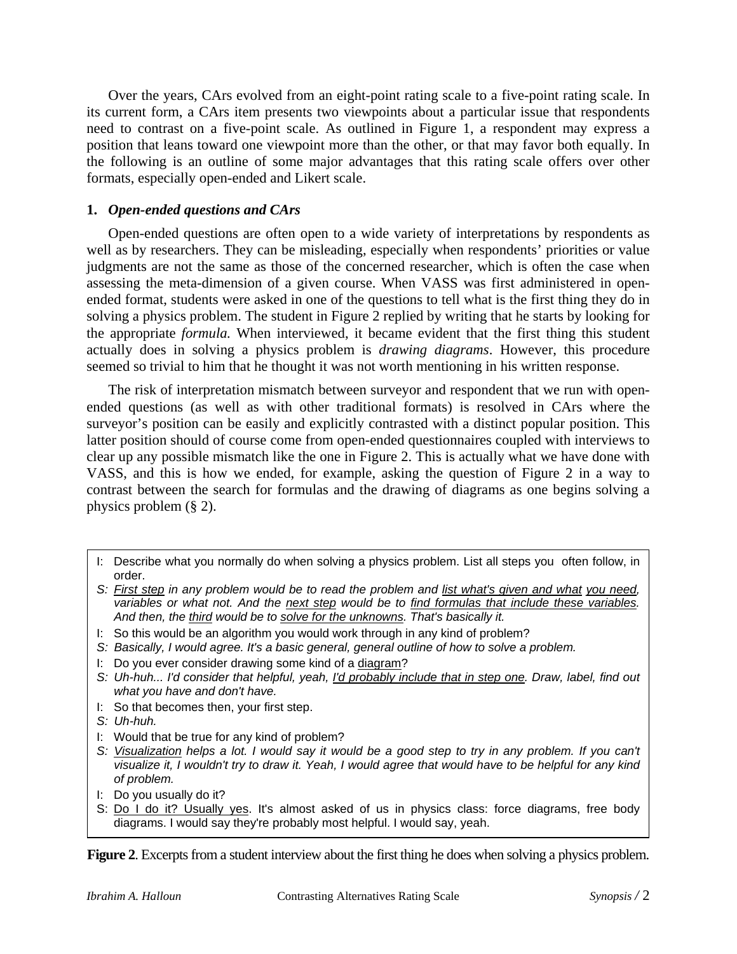Over the years, CArs evolved from an eight-point rating scale to a five-point rating scale. In its current form, a CArs item presents two viewpoints about a particular issue that respondents need to contrast on a five-point scale. As outlined in Figure 1, a respondent may express a position that leans toward one viewpoint more than the other, or that may favor both equally. In the following is an outline of some major advantages that this rating scale offers over other formats, especially open-ended and Likert scale.

## **1.** *Open-ended questions and CArs*

 Open-ended questions are often open to a wide variety of interpretations by respondents as well as by researchers. They can be misleading, especially when respondents' priorities or value judgments are not the same as those of the concerned researcher, which is often the case when assessing the meta-dimension of a given course. When VASS was first administered in openended format, students were asked in one of the questions to tell what is the first thing they do in solving a physics problem. The student in Figure 2 replied by writing that he starts by looking for the appropriate *formula.* When interviewed, it became evident that the first thing this student actually does in solving a physics problem is *drawing diagrams*. However, this procedure seemed so trivial to him that he thought it was not worth mentioning in his written response.

 The risk of interpretation mismatch between surveyor and respondent that we run with openended questions (as well as with other traditional formats) is resolved in CArs where the surveyor's position can be easily and explicitly contrasted with a distinct popular position. This latter position should of course come from open-ended questionnaires coupled with interviews to clear up any possible mismatch like the one in Figure 2. This is actually what we have done with VASS, and this is how we ended, for example, asking the question of Figure 2 in a way to contrast between the search for formulas and the drawing of diagrams as one begins solving a physics problem (§ 2).

- *S: Basically, I would agree. It's a basic general, general outline of how to solve a problem.*
- I: Do you ever consider drawing some kind of a diagram?
- *S: Uh-huh... I'd consider that helpful, yeah, I'd probably include that in step one. Draw, label, find out what you have and don't have.*
- I: So that becomes then, your first step.
- *S: Uh-huh.*
- I: Would that be true for any kind of problem?
- *S: Visualization helps a lot. I would say it would be a good step to try in any problem. If you can't visualize it, I wouldn't try to draw it. Yeah, I would agree that would have to be helpful for any kind of problem.*
- I: Do you usually do it?
- S: Do I do it? Usually yes. It's almost asked of us in physics class: force diagrams, free body diagrams. I would say they're probably most helpful. I would say, yeah.

**Figure 2.** Excerpts from a student interview about the first thing he does when solving a physics problem.

I: Describe what you normally do when solving a physics problem. List all steps you often follow, in order.

*S: First step in any problem would be to read the problem and list what's given and what you need, variables or what not. And the next step would be to find formulas that include these variables. And then, the third would be to solve for the unknowns. That's basically it.* 

I: So this would be an algorithm you would work through in any kind of problem?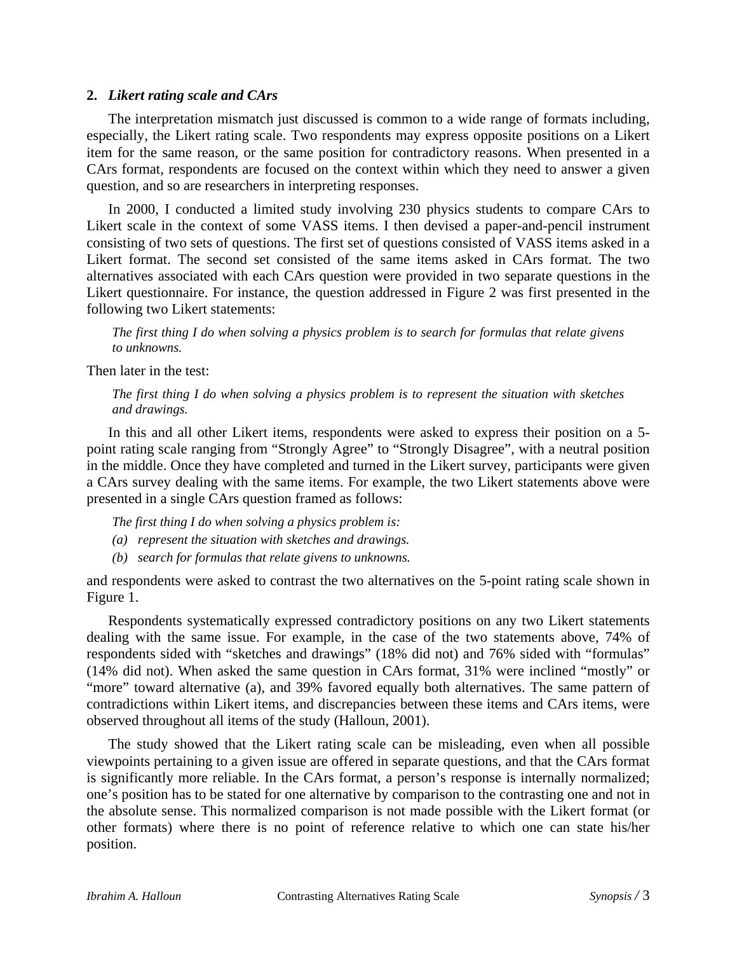## **2.** *Likert rating scale and CArs*

 The interpretation mismatch just discussed is common to a wide range of formats including, especially, the Likert rating scale. Two respondents may express opposite positions on a Likert item for the same reason, or the same position for contradictory reasons. When presented in a CArs format, respondents are focused on the context within which they need to answer a given question, and so are researchers in interpreting responses.

 In 2000, I conducted a limited study involving 230 physics students to compare CArs to Likert scale in the context of some VASS items. I then devised a paper-and-pencil instrument consisting of two sets of questions. The first set of questions consisted of VASS items asked in a Likert format. The second set consisted of the same items asked in CArs format. The two alternatives associated with each CArs question were provided in two separate questions in the Likert questionnaire. For instance, the question addressed in Figure 2 was first presented in the following two Likert statements:

*The first thing I do when solving a physics problem is to search for formulas that relate givens to unknowns.* 

Then later in the test:

*The first thing I do when solving a physics problem is to represent the situation with sketches and drawings.* 

 In this and all other Likert items, respondents were asked to express their position on a 5 point rating scale ranging from "Strongly Agree" to "Strongly Disagree", with a neutral position in the middle. Once they have completed and turned in the Likert survey, participants were given a CArs survey dealing with the same items. For example, the two Likert statements above were presented in a single CArs question framed as follows:

*The first thing I do when solving a physics problem is:* 

- *(a) represent the situation with sketches and drawings.*
- *(b) search for formulas that relate givens to unknowns.*

and respondents were asked to contrast the two alternatives on the 5-point rating scale shown in Figure 1.

 Respondents systematically expressed contradictory positions on any two Likert statements dealing with the same issue. For example, in the case of the two statements above, 74% of respondents sided with "sketches and drawings" (18% did not) and 76% sided with "formulas" (14% did not). When asked the same question in CArs format, 31% were inclined "mostly" or "more" toward alternative (a), and 39% favored equally both alternatives. The same pattern of contradictions within Likert items, and discrepancies between these items and CArs items, were observed throughout all items of the study (Halloun, 2001).

 The study showed that the Likert rating scale can be misleading, even when all possible viewpoints pertaining to a given issue are offered in separate questions, and that the CArs format is significantly more reliable. In the CArs format, a person's response is internally normalized; one's position has to be stated for one alternative by comparison to the contrasting one and not in the absolute sense. This normalized comparison is not made possible with the Likert format (or other formats) where there is no point of reference relative to which one can state his/her position.